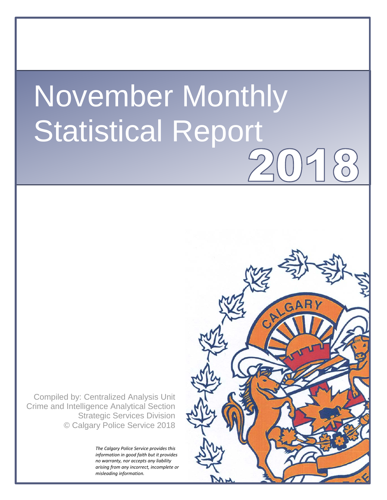# November Monthly Statistical Report

Compiled by: Centralized Analysis Unit Crime and Intelligence Analytical Section Strategic Services Division © Calgary Police Service 2018

> *The Calgary Police Service provides this information in good faith but it provides no warranty, nor accepts any liability arising from any incorrect, incomplete or misleading information.*

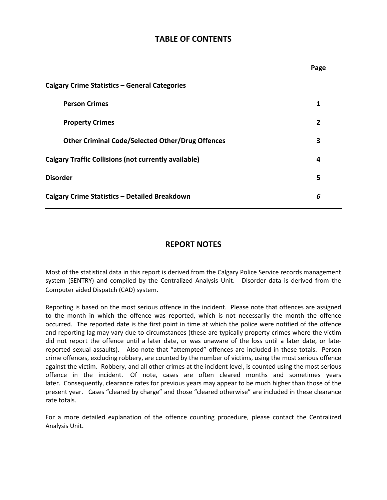## **TABLE OF CONTENTS**

**Page**

| Calgary Crime Statistics - General Categories               |   |  |  |  |  |  |
|-------------------------------------------------------------|---|--|--|--|--|--|
| <b>Person Crimes</b>                                        |   |  |  |  |  |  |
| <b>Property Crimes</b>                                      | 2 |  |  |  |  |  |
| <b>Other Criminal Code/Selected Other/Drug Offences</b>     | 3 |  |  |  |  |  |
| <b>Calgary Traffic Collisions (not currently available)</b> |   |  |  |  |  |  |
| <b>Disorder</b>                                             |   |  |  |  |  |  |
| Calgary Crime Statistics - Detailed Breakdown               | 6 |  |  |  |  |  |

### **REPORT NOTES**

Most of the statistical data in this report is derived from the Calgary Police Service records management system (SENTRY) and compiled by the Centralized Analysis Unit. Disorder data is derived from the Computer aided Dispatch (CAD) system.

Reporting is based on the most serious offence in the incident. Please note that offences are assigned to the month in which the offence was reported, which is not necessarily the month the offence occurred. The reported date is the first point in time at which the police were notified of the offence and reporting lag may vary due to circumstances (these are typically property crimes where the victim did not report the offence until a later date, or was unaware of the loss until a later date, or latereported sexual assaults). Also note that "attempted" offences are included in these totals. Person crime offences, excluding robbery, are counted by the number of victims, using the most serious offence against the victim. Robbery, and all other crimes at the incident level, is counted using the most serious offence in the incident. Of note, cases are often cleared months and sometimes years later. Consequently, clearance rates for previous years may appear to be much higher than those of the present year. Cases "cleared by charge" and those "cleared otherwise" are included in these clearance rate totals.

For a more detailed explanation of the offence counting procedure, please contact the Centralized Analysis Unit.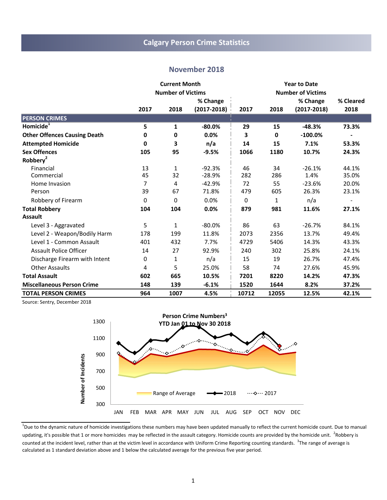# **Calgary Person Crime Statistics**

#### **November 2018**

|                                     |      | <b>Current Month</b><br><b>Year to Date</b> |                 |       |             |                          |           |
|-------------------------------------|------|---------------------------------------------|-----------------|-------|-------------|--------------------------|-----------|
|                                     |      | <b>Number of Victims</b>                    |                 |       |             | <b>Number of Victims</b> |           |
|                                     |      |                                             | % Change        |       |             | % Change                 | % Cleared |
|                                     | 2017 | 2018                                        | $(2017 - 2018)$ | 2017  | 2018        | $(2017 - 2018)$          | 2018      |
| <b>PERSON CRIMES</b>                |      |                                             |                 |       |             |                          |           |
| Homicide <sup>1</sup>               | 5    | 1                                           | $-80.0%$        | 29    | 15          | $-48.3%$                 | 73.3%     |
| <b>Other Offences Causing Death</b> | 0    | 0                                           | 0.0%            | 3     | $\mathbf 0$ | $-100.0%$                |           |
| <b>Attempted Homicide</b>           | 0    | 3                                           | n/a             | 14    | 15          | 7.1%                     | 53.3%     |
| <b>Sex Offences</b>                 | 105  | 95                                          | $-9.5%$         | 1066  | 1180        | 10.7%                    | 24.3%     |
| Robbery <sup>2</sup>                |      |                                             |                 |       |             |                          |           |
| Financial                           | 13   | 1                                           | $-92.3%$        | 46    | 34          | $-26.1%$                 | 44.1%     |
| Commercial                          | 45   | 32                                          | $-28.9%$        | 282   | 286         | 1.4%                     | 35.0%     |
| Home Invasion                       | 7    | 4                                           | $-42.9%$        | 72    | 55          | $-23.6%$                 | 20.0%     |
| Person                              | 39   | 67                                          | 71.8%           | 479   | 605         | 26.3%                    | 23.1%     |
| Robbery of Firearm                  | 0    | 0                                           | 0.0%            | 0     | 1           | n/a                      |           |
| <b>Total Robbery</b>                | 104  | 104                                         | 0.0%            | 879   | 981         | 11.6%                    | 27.1%     |
| <b>Assault</b>                      |      |                                             |                 |       |             |                          |           |
| Level 3 - Aggravated                | 5    | 1                                           | $-80.0\%$       | 86    | 63          | $-26.7%$                 | 84.1%     |
| Level 2 - Weapon/Bodily Harm        | 178  | 199                                         | 11.8%           | 2073  | 2356        | 13.7%                    | 49.4%     |
| Level 1 - Common Assault            | 401  | 432                                         | 7.7%            | 4729  | 5406        | 14.3%                    | 43.3%     |
| <b>Assault Police Officer</b>       | 14   | 27                                          | 92.9%           | 240   | 302         | 25.8%                    | 24.1%     |
| Discharge Firearm with Intent       | 0    | 1                                           | n/a             | 15    | 19          | 26.7%                    | 47.4%     |
| <b>Other Assaults</b>               | 4    | 5                                           | 25.0%           | 58    | 74          | 27.6%                    | 45.9%     |
| <b>Total Assault</b>                | 602  | 665                                         | 10.5%           | 7201  | 8220        | 14.2%                    | 47.3%     |
| <b>Miscellaneous Person Crime</b>   | 148  | 139                                         | $-6.1%$         | 1520  | 1644        | 8.2%                     | 37.2%     |
| <b>TOTAL PERSON CRIMES</b>          | 964  | 1007                                        | 4.5%            | 10712 | 12055       | 12.5%                    | 42.1%     |



 $^1$ Due to the dynamic nature of homicide investigations these numbers may have been updated manually to reflect the current homicide count. Due to manual updating, it's possible that 1 or more homicides may be reflected in the assault category. Homicide counts are provided by the homicide unit. <sup>2</sup>Robbery is counted at the incident level, rather than at the victim level in accordance with Uniform Crime Reporting counting standards. <sup>3</sup>The range of average is calculated as 1 standard deviation above and 1 below the calculated average for the previous five year period.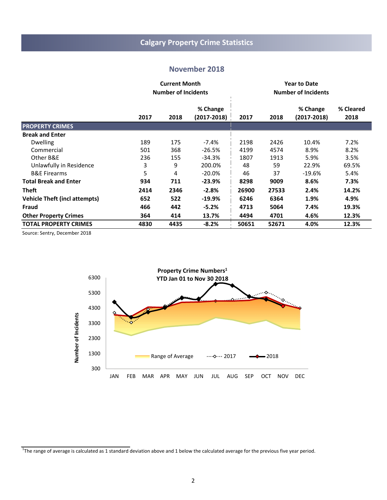# **Calgary Property Crime Statistics**

#### **November 2018**

|                                      |      | <b>Current Month</b><br><b>Number of Incidents</b> |                             |       |       |                             |                   |
|--------------------------------------|------|----------------------------------------------------|-----------------------------|-------|-------|-----------------------------|-------------------|
|                                      | 2017 | 2018                                               | % Change<br>$(2017 - 2018)$ | 2017  | 2018  | % Change<br>$(2017 - 2018)$ | % Cleared<br>2018 |
| <b>PROPERTY CRIMES</b>               |      |                                                    |                             |       |       |                             |                   |
| <b>Break and Enter</b>               |      |                                                    |                             |       |       |                             |                   |
| <b>Dwelling</b>                      | 189  | 175                                                | $-7.4%$                     | 2198  | 2426  | 10.4%                       | 7.2%              |
| Commercial                           | 501  | 368                                                | $-26.5%$                    | 4199  | 4574  | 8.9%                        | 8.2%              |
| Other B&E                            | 236  | 155                                                | $-34.3%$                    | 1807  | 1913  | 5.9%                        | 3.5%              |
| Unlawfully in Residence              | 3    | 9                                                  | 200.0%                      | 48    | 59    | 22.9%                       | 69.5%             |
| <b>B&amp;E Firearms</b>              | 5    | 4                                                  | $-20.0\%$                   | 46    | 37    | $-19.6%$                    | 5.4%              |
| <b>Total Break and Enter</b>         | 934  | 711                                                | -23.9%                      | 8298  | 9009  | 8.6%                        | 7.3%              |
| <b>Theft</b>                         | 2414 | 2346                                               | $-2.8%$                     | 26900 | 27533 | 2.4%                        | 14.2%             |
| <b>Vehicle Theft (incl attempts)</b> | 652  | 522                                                | $-19.9\%$                   | 6246  | 6364  | 1.9%                        | 4.9%              |
| Fraud                                | 466  | 442                                                | $-5.2%$                     | 4713  | 5064  | 7.4%                        | 19.3%             |
| <b>Other Property Crimes</b>         | 364  | 414                                                | 13.7%                       | 4494  | 4701  | 4.6%                        | 12.3%             |
| <b>TOTAL PROPERTY CRIMES</b>         | 4830 | 4435                                               | $-8.2%$                     | 50651 | 52671 | 4.0%                        | 12.3%             |



 $^1$ The range of average is calculated as 1 standard deviation above and 1 below the calculated average for the previous five year period.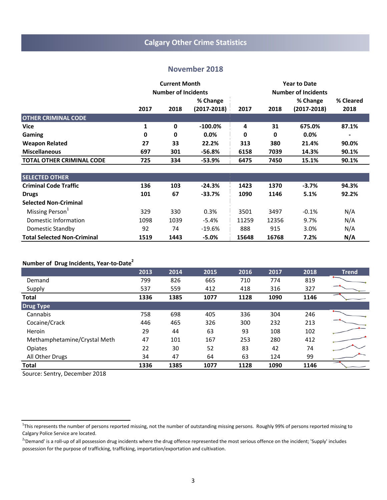# **Calgary Other Crime Statistics**

#### **November 2018**

|                                    |      | <b>Current Month</b>       |                 |       | <b>Year to Date</b><br><b>Number of Incidents</b> |                 |           |  |
|------------------------------------|------|----------------------------|-----------------|-------|---------------------------------------------------|-----------------|-----------|--|
|                                    |      | <b>Number of Incidents</b> |                 |       |                                                   |                 |           |  |
|                                    |      |                            | % Change        |       |                                                   | % Change        | % Cleared |  |
|                                    | 2017 | 2018                       | $(2017 - 2018)$ | 2017  | 2018                                              | $(2017 - 2018)$ | 2018      |  |
| <b>OTHER CRIMINAL CODE</b>         |      |                            |                 |       |                                                   |                 |           |  |
| <b>Vice</b>                        | 1    | 0                          | $-100.0\%$      | 4     | 31                                                | 675.0%          | 87.1%     |  |
| <b>Gaming</b>                      | 0    | 0                          | 0.0%            | 0     | 0                                                 | 0.0%            |           |  |
| <b>Weapon Related</b>              | 27   | 33                         | 22.2%           | 313   | 380                                               | 21.4%           | 90.0%     |  |
| <b>Miscellaneous</b>               | 697  | 301                        | $-56.8%$        | 6158  | 7039                                              | 14.3%           | 90.1%     |  |
| <b>TOTAL OTHER CRIMINAL CODE</b>   | 725  | 334                        | -53.9%          | 6475  | 7450                                              | 15.1%           | 90.1%     |  |
| <b>SELECTED OTHER</b>              |      |                            |                 |       |                                                   |                 |           |  |
| <b>Criminal Code Traffic</b>       | 136  | 103                        | $-24.3%$        | 1423  | 1370                                              | $-3.7%$         | 94.3%     |  |
| <b>Drugs</b>                       | 101  | 67                         | $-33.7%$        | 1090  | 1146                                              | 5.1%            | 92.2%     |  |
| <b>Selected Non-Criminal</b>       |      |                            |                 |       |                                                   |                 |           |  |
| Missing Person <sup>1</sup>        | 329  | 330                        | 0.3%            | 3501  | 3497                                              | $-0.1%$         | N/A       |  |
| Domestic Information               | 1098 | 1039                       | -5.4%           | 11259 | 12356                                             | 9.7%            | N/A       |  |
| Domestic Standby                   | 92   | 74                         | $-19.6%$        | 888   | 915                                               | 3.0%            | N/A       |  |
| <b>Total Selected Non-Criminal</b> | 1519 | 1443                       | -5.0%           | 15648 | 16768                                             | 7.2%            | N/A       |  |

## **Number of Drug Incidents, Year-to-Date2**

|                              | 2013 | 2014 | 2015 | 2016 | 2017 | 2018 | <b>Trend</b> |
|------------------------------|------|------|------|------|------|------|--------------|
| Demand                       | 799  | 826  | 665  | 710  | 774  | 819  |              |
| Supply                       | 537  | 559  | 412  | 418  | 316  | 327  |              |
| <b>Total</b>                 | 1336 | 1385 | 1077 | 1128 | 1090 | 1146 |              |
| <b>Drug Type</b>             |      |      |      |      |      |      |              |
| Cannabis                     | 758  | 698  | 405  | 336  | 304  | 246  |              |
| Cocaine/Crack                | 446  | 465  | 326  | 300  | 232  | 213  |              |
| Heroin                       | 29   | 44   | 63   | 93   | 108  | 102  |              |
| Methamphetamine/Crystal Meth | 47   | 101  | 167  | 253  | 280  | 412  |              |
| Opiates                      | 22   | 30   | 52   | 83   | 42   | 74   |              |
| All Other Drugs              | 34   | 47   | 64   | 63   | 124  | 99   |              |
| <b>Total</b>                 | 1336 | 1385 | 1077 | 1128 | 1090 | 1146 |              |

<sup>&</sup>lt;sup>1</sup>This represents the number of persons reported missing, not the number of outstanding missing persons. Roughly 99% of persons reported missing to Calgary Police Service are located.

<sup>&</sup>lt;sup>2</sup>'Demand' is a roll-up of all possession drug incidents where the drug offence represented the most serious offence on the incident; 'Supply' includes possession for the purpose of trafficking, trafficking, importation/exportation and cultivation.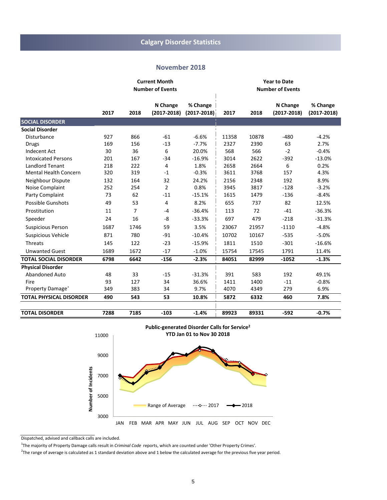#### **November 2018**

|                                |      |      | <b>Current Month</b>        |                             | <b>Year to Date</b> |       |                             |                             |
|--------------------------------|------|------|-----------------------------|-----------------------------|---------------------|-------|-----------------------------|-----------------------------|
|                                |      |      | <b>Number of Events</b>     |                             |                     |       | <b>Number of Events</b>     |                             |
|                                | 2017 | 2018 | N Change<br>$(2017 - 2018)$ | % Change<br>$(2017 - 2018)$ | 2017                | 2018  | N Change<br>$(2017 - 2018)$ | % Change<br>$(2017 - 2018)$ |
| <b>SOCIAL DISORDER</b>         |      |      |                             |                             |                     |       |                             |                             |
| <b>Social Disorder</b>         |      |      |                             |                             |                     |       |                             |                             |
| Disturbance                    | 927  | 866  | $-61$                       | $-6.6%$                     | 11358               | 10878 | $-480$                      | $-4.2%$                     |
| <b>Drugs</b>                   | 169  | 156  | $-13$                       | $-7.7%$                     | 2327                | 2390  | 63                          | 2.7%                        |
| <b>Indecent Act</b>            | 30   | 36   | 6                           | 20.0%                       | 568                 | 566   | $-2$                        | $-0.4%$                     |
| <b>Intoxicated Persons</b>     | 201  | 167  | $-34$                       | $-16.9%$                    | 3014                | 2622  | $-392$                      | $-13.0%$                    |
| <b>Landlord Tenant</b>         | 218  | 222  | 4                           | 1.8%                        | 2658                | 2664  | 6                           | 0.2%                        |
| <b>Mental Health Concern</b>   | 320  | 319  | $-1$                        | $-0.3%$                     | 3611                | 3768  | 157                         | 4.3%                        |
| Neighbour Dispute              | 132  | 164  | 32                          | 24.2%                       | 2156                | 2348  | 192                         | 8.9%                        |
| Noise Complaint                | 252  | 254  | $\overline{2}$              | 0.8%                        | 3945                | 3817  | $-128$                      | $-3.2%$                     |
| Party Complaint                | 73   | 62   | $-11$                       | $-15.1%$                    | 1615                | 1479  | $-136$                      | $-8.4%$                     |
| Possible Gunshots              | 49   | 53   | 4                           | 8.2%                        | 655                 | 737   | 82                          | 12.5%                       |
| Prostitution                   | 11   | 7    | $-4$                        | $-36.4%$                    | 113                 | 72    | $-41$                       | $-36.3%$                    |
| Speeder                        | 24   | 16   | -8                          | $-33.3%$                    | 697                 | 479   | $-218$                      | $-31.3%$                    |
| <b>Suspicious Person</b>       | 1687 | 1746 | 59                          | 3.5%                        | 23067               | 21957 | $-1110$                     | $-4.8%$                     |
| <b>Suspicious Vehicle</b>      | 871  | 780  | $-91$                       | $-10.4%$                    | 10702               | 10167 | $-535$                      | $-5.0%$                     |
| Threats                        | 145  | 122  | $-23$                       | $-15.9%$                    | 1811                | 1510  | $-301$                      | $-16.6%$                    |
| <b>Unwanted Guest</b>          | 1689 | 1672 | $-17$                       | $-1.0%$                     | 15754               | 17545 | 1791                        | 11.4%                       |
| <b>TOTAL SOCIAL DISORDER</b>   | 6798 | 6642 | $-156$                      | $-2.3%$                     | 84051               | 82999 | $-1052$                     | $-1.3%$                     |
| <b>Physical Disorder</b>       |      |      |                             |                             |                     |       |                             |                             |
| <b>Abandoned Auto</b>          | 48   | 33   | $-15$                       | $-31.3%$                    | 391                 | 583   | 192                         | 49.1%                       |
| Fire                           | 93   | 127  | 34                          | 36.6%                       | 1411                | 1400  | $-11$                       | $-0.8%$                     |
| Property Damage <sup>+</sup>   | 349  | 383  | 34                          | 9.7%                        | 4070                | 4349  | 279                         | 6.9%                        |
| <b>TOTAL PHYSICAL DISORDER</b> | 490  | 543  | 53                          | 10.8%                       | 5872                | 6332  | 460                         | 7.8%                        |
| <b>TOTAL DISORDER</b>          | 7288 | 7185 | $-103$                      | $-1.4%$                     | 89923               | 89331 | $-592$                      | $-0.7%$                     |



Dispatched, advised and callback calls are included.

<sup>1</sup> The majority of Property Damage calls result in *Criminal Code* reports, which are counted under 'Other Property Crimes'.

 $^2$ The range of average is calculated as 1 standard deviation above and 1 below the calculated average for the previous five year period.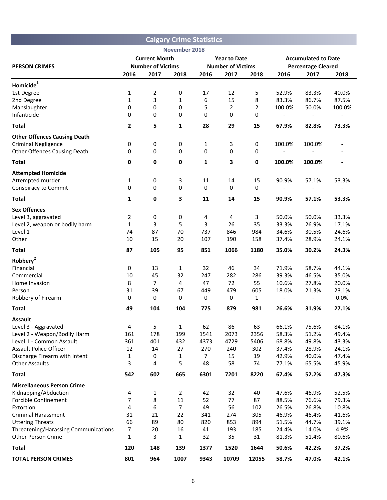|                                                                   |                          |                | <b>Calgary Crime Statistics</b> |                          |                     |                |                           |                            |                          |  |
|-------------------------------------------------------------------|--------------------------|----------------|---------------------------------|--------------------------|---------------------|----------------|---------------------------|----------------------------|--------------------------|--|
|                                                                   |                          |                | November 2018                   |                          |                     |                |                           |                            |                          |  |
|                                                                   | <b>Current Month</b>     |                |                                 |                          | <b>Year to Date</b> |                |                           | <b>Accumulated to Date</b> |                          |  |
| <b>PERSON CRIMES</b>                                              | <b>Number of Victims</b> |                |                                 | <b>Number of Victims</b> |                     |                | <b>Percentage Cleared</b> |                            |                          |  |
|                                                                   | 2016                     | 2017           | 2018                            | 2016                     | 2017                | 2018           | 2016                      | 2017                       | 2018                     |  |
| Homicide <sup>1</sup>                                             |                          |                |                                 |                          |                     |                |                           |                            |                          |  |
| 1st Degree                                                        | 1                        | 2              | 0                               | 17                       | 12                  | 5              | 52.9%                     | 83.3%                      | 40.0%                    |  |
| 2nd Degree                                                        | 1                        | 3              | 1                               | 6                        | 15                  | 8              | 83.3%                     | 86.7%                      | 87.5%                    |  |
| Manslaughter                                                      | 0                        | 0              | 0                               | 5                        | $\overline{2}$      | $\overline{2}$ | 100.0%                    | 50.0%                      | 100.0%                   |  |
| Infanticide                                                       | 0                        | 0              | 0                               | 0                        | 0                   | 0              | $\overline{a}$            |                            | $\overline{\phantom{a}}$ |  |
| <b>Total</b>                                                      | $\overline{2}$           | 5              | 1                               | 28                       | 29                  | 15             | 67.9%                     | 82.8%                      | 73.3%                    |  |
| <b>Other Offences Causing Death</b>                               |                          |                |                                 |                          |                     |                |                           |                            |                          |  |
| <b>Criminal Negligence</b>                                        | 0                        | 0              | 0                               | 1                        | 3                   | 0              | 100.0%                    | 100.0%                     |                          |  |
| <b>Other Offences Causing Death</b>                               | 0                        | 0              | 0                               | 0                        | 0                   | 0              |                           |                            |                          |  |
| <b>Total</b>                                                      | $\mathbf 0$              | 0              | $\pmb{0}$                       | $\mathbf{1}$             | 3                   | 0              | 100.0%                    | 100.0%                     |                          |  |
| <b>Attempted Homicide</b>                                         |                          |                |                                 |                          |                     |                |                           |                            |                          |  |
| Attempted murder                                                  | 1                        | 0              | 3                               | 11                       | 14                  | 15             | 90.9%                     | 57.1%                      | 53.3%                    |  |
| <b>Conspiracy to Commit</b>                                       | 0                        | 0              | 0                               | 0                        | 0                   | $\mathbf 0$    | $\overline{\phantom{a}}$  |                            | $\overline{\phantom{a}}$ |  |
| <b>Total</b>                                                      | $\mathbf{1}$             | 0              | 3                               | 11                       | 14                  | 15             | 90.9%                     | 57.1%                      | 53.3%                    |  |
| <b>Sex Offences</b>                                               |                          |                |                                 |                          |                     |                |                           |                            |                          |  |
| Level 3, aggravated                                               | $\overline{2}$           | 0              | 0                               | 4                        | 4                   | 3              | 50.0%                     | 50.0%                      | 33.3%                    |  |
| Level 2, weapon or bodily harm                                    | $\mathbf{1}$             | 3              | 5                               | 3                        | 26                  | 35             | 33.3%                     | 26.9%                      | 17.1%                    |  |
| Level 1                                                           | 74                       | 87             | 70                              | 737                      | 846                 | 984            | 34.6%                     | 30.5%                      | 24.6%                    |  |
| Other                                                             | 10                       | 15             | 20                              | 107                      | 190                 | 158            | 37.4%                     | 28.9%                      | 24.1%                    |  |
| <b>Total</b>                                                      | 87                       | 105            | 95                              | 851                      | 1066                | 1180           | 35.0%                     | 30.2%                      | 24.3%                    |  |
| Robbery <sup>2</sup>                                              |                          |                |                                 |                          |                     |                |                           |                            |                          |  |
| Financial                                                         | 0                        | 13             | 1                               | 32                       | 46                  | 34             | 71.9%                     | 58.7%                      | 44.1%                    |  |
| Commercial                                                        | 10                       | 45             | 32                              | 247                      | 282                 | 286            | 39.3%                     | 46.5%                      | 35.0%                    |  |
| Home Invasion                                                     | 8                        | $\overline{7}$ | 4                               | 47                       | 72                  | 55             | 10.6%                     | 27.8%                      | 20.0%                    |  |
| Person                                                            | 31                       | 39             | 67                              | 449                      | 479                 | 605            | 18.0%                     | 21.3%                      | 23.1%                    |  |
| Robbery of Firearm                                                | 0                        | 0              | 0                               | 0                        | 0                   | 1              |                           |                            | 0.0%                     |  |
| <b>Total</b>                                                      | 49                       | 104            | 104                             | 775                      | 879                 | 981            | 26.6%                     | 31.9%                      | 27.1%                    |  |
| <b>Assault</b>                                                    |                          |                |                                 |                          |                     |                |                           |                            |                          |  |
| Level 3 - Aggravated                                              | 4                        | 5              | 1                               | 62                       | 86                  | 63             | 66.1%                     | 75.6%                      | 84.1%                    |  |
| Level 2 - Weapon/Bodily Harm<br>Level 1 - Common Assault          | 161<br>361               | 178<br>401     | 199<br>432                      | 1541<br>4373             | 2073<br>4729        | 2356<br>5406   | 58.3%<br>68.8%            | 51.2%<br>49.8%             | 49.4%<br>43.3%           |  |
| <b>Assault Police Officer</b>                                     | 12                       | 14             | 27                              | 270                      | 240                 | 302            | 37.4%                     | 28.9%                      | 24.1%                    |  |
| Discharge Firearm with Intent                                     | 1                        | 0              | 1                               | 7                        | 15                  | 19             | 42.9%                     | 40.0%                      | 47.4%                    |  |
| <b>Other Assaults</b>                                             | 3                        | 4              | 5                               | 48                       | 58                  | 74             | 77.1%                     | 65.5%                      | 45.9%                    |  |
| <b>Total</b>                                                      | 542                      | 602            | 665                             | 6301                     | 7201                | 8220           | 67.4%                     | 52.2%                      | 47.3%                    |  |
| <b>Miscellaneous Person Crime</b>                                 |                          |                |                                 |                          |                     |                |                           |                            |                          |  |
| Kidnapping/Abduction                                              | 4                        | 1              | 2                               | 42                       | 32                  | 40             | 47.6%                     | 46.9%                      | 52.5%                    |  |
| <b>Forcible Confinement</b>                                       | 7                        | 8              | 11                              | 52                       | 77                  | 87             | 88.5%                     | 76.6%                      | 79.3%                    |  |
| Extortion                                                         | 4                        | 6              | 7                               | 49                       | 56                  | 102            | 26.5%                     | 26.8%                      | 10.8%                    |  |
| <b>Criminal Harassment</b>                                        | 31                       | 21             | 22                              | 341                      | 274                 | 305            | 46.9%                     | 46.4%                      | 41.6%                    |  |
| <b>Uttering Threats</b>                                           | 66                       | 89             | 80                              | 820                      | 853                 | 894            | 51.5%                     | 44.7%                      | 39.1%                    |  |
| Threatening/Harassing Communications<br><b>Other Person Crime</b> | 7                        | 20             | 16                              | 41                       | 193                 | 185            | 24.4%                     | 14.0%                      | 4.9%                     |  |
|                                                                   | 1                        | 3              | 1                               | 32                       | 35                  | 31             | 81.3%                     | 51.4%                      | 80.6%                    |  |
| <b>Total</b>                                                      | 120                      | 148            | 139                             | 1377                     | 1520                | 1644           | 50.6%                     | 42.2%                      | 37.2%                    |  |
| <b>TOTAL PERSON CRIMES</b>                                        | 801                      | 964            | 1007                            | 9343                     | 10709               | 12055          | 58.7%                     | 47.0%                      | 42.1%                    |  |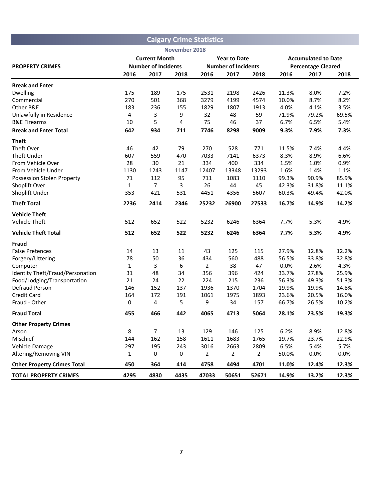|                                    |              |                            |               | <b>Calgary Crime Statistics</b> |                            |                |       |                            |       |  |
|------------------------------------|--------------|----------------------------|---------------|---------------------------------|----------------------------|----------------|-------|----------------------------|-------|--|
|                                    |              |                            | November 2018 |                                 |                            |                |       |                            |       |  |
|                                    |              | <b>Current Month</b>       |               |                                 | <b>Year to Date</b>        |                |       | <b>Accumulated to Date</b> |       |  |
| <b>PROPERTY CRIMES</b>             |              | <b>Number of Incidents</b> |               |                                 | <b>Number of Incidents</b> |                |       | <b>Percentage Cleared</b>  |       |  |
|                                    | 2016         | 2017                       | 2018          | 2016                            | 2017                       | 2018           | 2016  | 2017                       | 2018  |  |
| <b>Break and Enter</b>             |              |                            |               |                                 |                            |                |       |                            |       |  |
| <b>Dwelling</b>                    | 175          | 189                        | 175           | 2531                            | 2198                       | 2426           | 11.3% | 8.0%                       | 7.2%  |  |
| Commercial                         | 270          | 501                        | 368           | 3279                            | 4199                       | 4574           | 10.0% | 8.7%                       | 8.2%  |  |
| Other B&E                          | 183          | 236                        | 155           | 1829                            | 1807                       | 1913           | 4.0%  | 4.1%                       | 3.5%  |  |
| Unlawfully in Residence            | 4            | 3                          | 9             | 32                              | 48                         | 59             | 71.9% | 79.2%                      | 69.5% |  |
| <b>B&amp;E Firearms</b>            | 10           | 5                          | 4             | 75                              | 46                         | 37             | 6.7%  | 6.5%                       | 5.4%  |  |
| <b>Break and Enter Total</b>       | 642          | 934                        | 711           | 7746                            | 8298                       | 9009           | 9.3%  | 7.9%                       | 7.3%  |  |
| <b>Theft</b>                       |              |                            |               |                                 |                            |                |       |                            |       |  |
| Theft Over                         | 46           | 42                         | 79            | 270                             | 528                        | 771            | 11.5% | 7.4%                       | 4.4%  |  |
| Theft Under                        | 607          | 559                        | 470           | 7033                            | 7141                       | 6373           | 8.3%  | 8.9%                       | 6.6%  |  |
| From Vehicle Over                  | 28           | 30                         | 21            | 334                             | 400                        | 334            | 1.5%  | 1.0%                       | 0.9%  |  |
| From Vehicle Under                 | 1130         | 1243                       | 1147          | 12407                           | 13348                      | 13293          | 1.6%  | 1.4%                       | 1.1%  |  |
| Possession Stolen Property         | 71           | 112                        | 95            | 711                             | 1083                       | 1110           | 99.3% | 90.9%                      | 85.9% |  |
| Shoplift Over                      | $\mathbf{1}$ | $\overline{7}$             | 3             | 26                              | 44                         | 45             | 42.3% | 31.8%                      | 11.1% |  |
| Shoplift Under                     | 353          | 421                        | 531           | 4451                            | 4356                       | 5607           | 60.3% | 49.4%                      | 42.0% |  |
| <b>Theft Total</b>                 | 2236         | 2414                       | 2346          | 25232                           | 26900                      | 27533          | 16.7% | 14.9%                      | 14.2% |  |
| <b>Vehicle Theft</b>               |              |                            |               |                                 |                            |                |       |                            |       |  |
| Vehicle Theft                      | 512          | 652                        | 522           | 5232                            | 6246                       | 6364           | 7.7%  | 5.3%                       | 4.9%  |  |
| <b>Vehicle Theft Total</b>         | 512          | 652                        | 522           | 5232                            | 6246                       | 6364           | 7.7%  | 5.3%                       | 4.9%  |  |
| Fraud                              |              |                            |               |                                 |                            |                |       |                            |       |  |
| <b>False Pretences</b>             | 14           | 13                         | 11            | 43                              | 125                        | 115            | 27.9% | 12.8%                      | 12.2% |  |
| Forgery/Uttering                   | 78           | 50                         | 36            | 434                             | 560                        | 488            | 56.5% | 33.8%                      | 32.8% |  |
| Computer                           | $\mathbf{1}$ | 3                          | 6             | $\overline{2}$                  | 38                         | 47             | 0.0%  | 2.6%                       | 4.3%  |  |
| Identity Theft/Fraud/Personation   | 31           | 48                         | 34            | 356                             | 396                        | 424            | 33.7% | 27.8%                      | 25.9% |  |
| Food/Lodging/Transportation        | 21           | 24                         | 22            | 224                             | 215                        | 236            | 56.3% | 49.3%                      | 51.3% |  |
| Defraud Person                     | 146          | 152                        | 137           | 1936                            | 1370                       | 1704           | 19.9% | 19.9%                      | 14.8% |  |
| <b>Credit Card</b>                 | 164          | 172                        | 191           | 1061                            | 1975                       | 1893           | 23.6% | 20.5%                      | 16.0% |  |
| Fraud - Other                      | 0            | 4                          | 5             | 9                               | 34                         | 157            | 66.7% | 26.5%                      | 10.2% |  |
| <b>Fraud Total</b>                 | 455          | 466                        | 442           | 4065                            | 4713                       | 5064           | 28.1% | 23.5%                      | 19.3% |  |
| <b>Other Property Crimes</b>       |              |                            |               |                                 |                            |                |       |                            |       |  |
| Arson                              | 8            | $\overline{7}$             | 13            | 129                             | 146                        | 125            | 6.2%  | 8.9%                       | 12.8% |  |
| Mischief                           | 144          | 162                        | 158           | 1611                            | 1683                       | 1765           | 19.7% | 23.7%                      | 22.9% |  |
| Vehicle Damage                     | 297          | 195                        | 243           | 3016                            | 2663                       | 2809           | 6.5%  | 5.4%                       | 5.7%  |  |
| Altering/Removing VIN              | 1            | 0                          | 0             | 2                               | $\overline{2}$             | $\overline{2}$ | 50.0% | 0.0%                       | 0.0%  |  |
| <b>Other Property Crimes Total</b> | 450          | 364                        | 414           | 4758                            | 4494                       | 4701           | 11.0% | 12.4%                      | 12.3% |  |
| <b>TOTAL PROPERTY CRIMES</b>       | 4295         | 4830                       | 4435          | 47033                           | 50651                      | 52671          | 14.9% | 13.2%                      | 12.3% |  |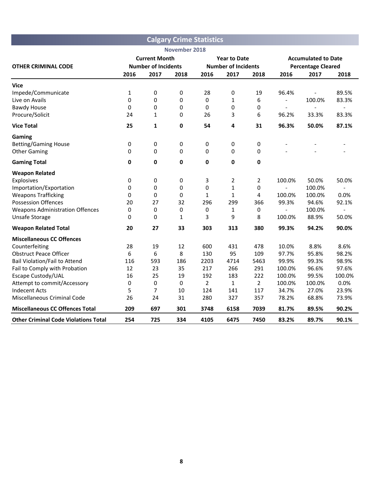|                                             |              |                            |               | <b>Calgary Crime Statistics</b> |                            |                |                           |                            |                          |
|---------------------------------------------|--------------|----------------------------|---------------|---------------------------------|----------------------------|----------------|---------------------------|----------------------------|--------------------------|
|                                             |              |                            | November 2018 |                                 |                            |                |                           |                            |                          |
|                                             |              | <b>Current Month</b>       |               |                                 | <b>Year to Date</b>        |                |                           | <b>Accumulated to Date</b> |                          |
| <b>OTHER CRIMINAL CODE</b>                  |              | <b>Number of Incidents</b> |               |                                 | <b>Number of Incidents</b> |                | <b>Percentage Cleared</b> |                            |                          |
|                                             | 2016         | 2017                       | 2018          | 2016                            | 2017                       | 2018           | 2016                      | 2017                       | 2018                     |
| Vice                                        |              |                            |               |                                 |                            |                |                           |                            |                          |
| Impede/Communicate                          | $\mathbf{1}$ | 0                          | 0             | 28                              | 0                          | 19             | 96.4%                     |                            | 89.5%                    |
| Live on Avails                              | 0            | 0                          | 0             | 0                               | $\mathbf{1}$               | 6              | $\overline{\phantom{0}}$  | 100.0%                     | 83.3%                    |
| <b>Bawdy House</b>                          | 0            | 0                          | 0             | 0                               | 0                          | 0              | $\overline{a}$            | $\overline{a}$             | $\overline{\phantom{a}}$ |
| Procure/Solicit                             | 24           | $\mathbf{1}$               | 0             | 26                              | 3                          | 6              | 96.2%                     | 33.3%                      | 83.3%                    |
| <b>Vice Total</b>                           | 25           | 1                          | 0             | 54                              | 4                          | 31             | 96.3%                     | 50.0%                      | 87.1%                    |
| Gaming                                      |              |                            |               |                                 |                            |                |                           |                            |                          |
| <b>Betting/Gaming House</b>                 | 0            | 0                          | 0             | 0                               | 0                          | 0              |                           |                            |                          |
| <b>Other Gaming</b>                         | 0            | 0                          | 0             | 0                               | 0                          | 0              |                           |                            |                          |
| <b>Gaming Total</b>                         | $\mathbf 0$  | 0                          | 0             | 0                               | 0                          | $\mathbf 0$    |                           |                            |                          |
| <b>Weapon Related</b>                       |              |                            |               |                                 |                            |                |                           |                            |                          |
| Explosives                                  | 0            | 0                          | 0             | 3                               | $\overline{2}$             | $\overline{2}$ | 100.0%                    | 50.0%                      | 50.0%                    |
| Importation/Exportation                     | 0            | 0                          | 0             | 0                               | $\mathbf{1}$               | 0              | $\overline{a}$            | 100.0%                     |                          |
| <b>Weapons Trafficking</b>                  | 0            | 0                          | 0             | 1                               | 1                          | 4              | 100.0%                    | 100.0%                     | 0.0%                     |
| <b>Possession Offences</b>                  | 20           | 27                         | 32            | 296                             | 299                        | 366            | 99.3%                     | 94.6%                      | 92.1%                    |
| <b>Weapons Administration Offences</b>      | 0            | 0                          | 0             | 0                               | 1                          | 0              |                           | 100.0%                     |                          |
| Unsafe Storage                              | 0            | 0                          | 1             | 3                               | 9                          | 8              | 100.0%                    | 88.9%                      | 50.0%                    |
| <b>Weapon Related Total</b>                 | 20           | 27                         | 33            | 303                             | 313                        | 380            | 99.3%                     | 94.2%                      | 90.0%                    |
| <b>Miscellaneous CC Offences</b>            |              |                            |               |                                 |                            |                |                           |                            |                          |
| Counterfeiting                              | 28           | 19                         | 12            | 600                             | 431                        | 478            | 10.0%                     | 8.8%                       | 8.6%                     |
| <b>Obstruct Peace Officer</b>               | 6            | 6                          | 8             | 130                             | 95                         | 109            | 97.7%                     | 95.8%                      | 98.2%                    |
| <b>Bail Violation/Fail to Attend</b>        | 116          | 593                        | 186           | 2203                            | 4714                       | 5463           | 99.9%                     | 99.3%                      | 98.9%                    |
| Fail to Comply with Probation               | 12           | 23                         | 35            | 217                             | 266                        | 291            | 100.0%                    | 96.6%                      | 97.6%                    |
| Escape Custody/UAL                          | 16           | 25                         | 19            | 192                             | 183                        | 222            | 100.0%                    | 99.5%                      | 100.0%                   |
| Attempt to commit/Accessory                 | 0            | 0                          | 0             | $\overline{2}$                  | $\mathbf{1}$               | $\overline{2}$ | 100.0%                    | 100.0%                     | 0.0%                     |
| <b>Indecent Acts</b>                        | 5            | 7                          | 10            | 124                             | 141                        | 117            | 34.7%                     | 27.0%                      | 23.9%                    |
| Miscellaneous Criminal Code                 | 26           | 24                         | 31            | 280                             | 327                        | 357            | 78.2%                     | 68.8%                      | 73.9%                    |
| <b>Miscellaneous CC Offences Total</b>      | 209          | 697                        | 301           | 3748                            | 6158                       | 7039           | 81.7%                     | 89.5%                      | 90.2%                    |
| <b>Other Criminal Code Violations Total</b> | 254          | 725                        | 334           | 4105                            | 6475                       | 7450           | 83.2%                     | 89.7%                      | 90.1%                    |